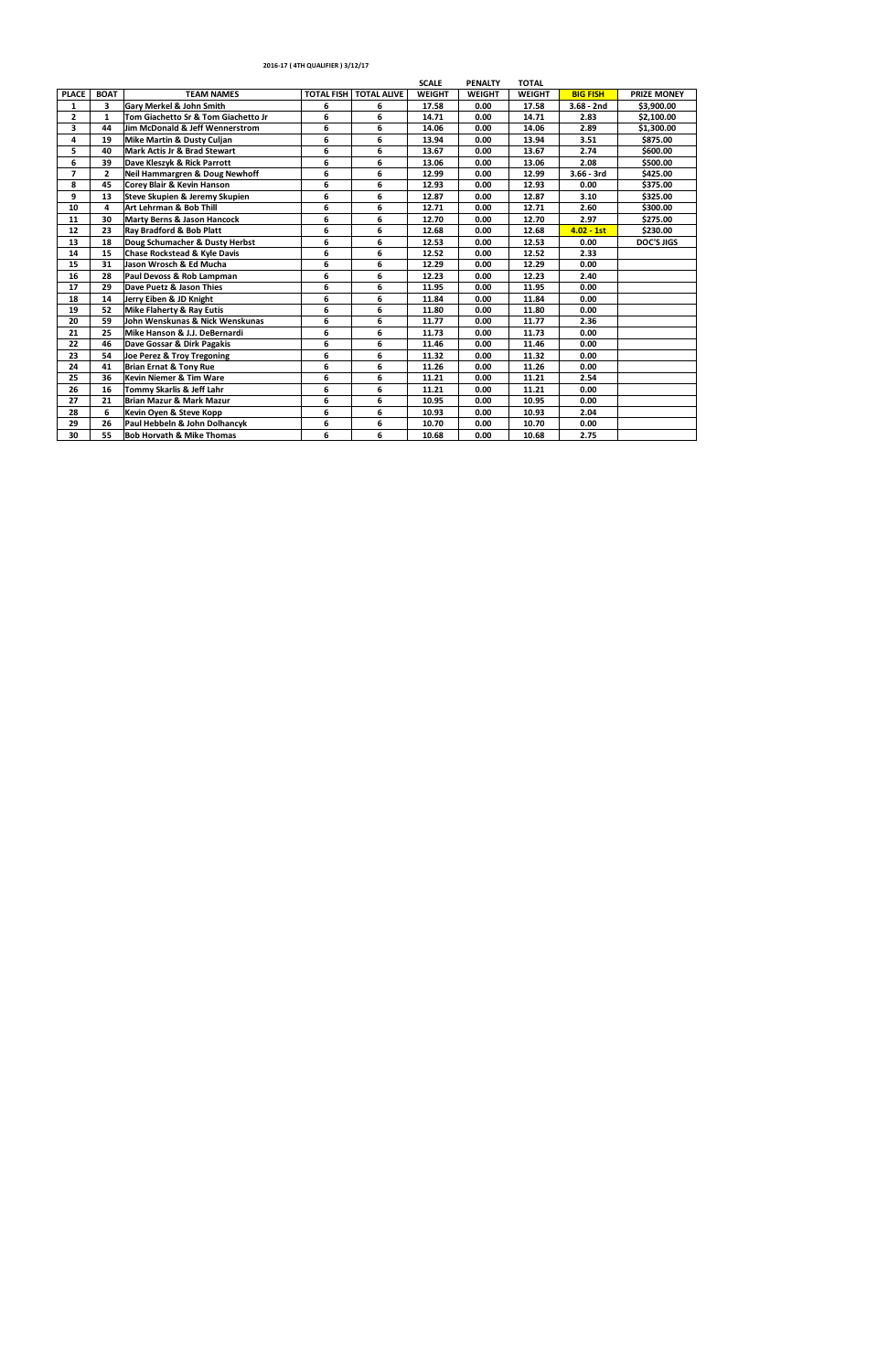|                |              |                                           |                   |                    | <b>SCALE</b>  | <b>PENALTY</b> | <b>TOTAL</b>  |                 |                    |
|----------------|--------------|-------------------------------------------|-------------------|--------------------|---------------|----------------|---------------|-----------------|--------------------|
| <b>PLACE</b>   | <b>BOAT</b>  | <b>TEAM NAMES</b>                         | <b>TOTAL FISH</b> | <b>TOTAL ALIVE</b> | <b>WEIGHT</b> | <b>WEIGHT</b>  | <b>WEIGHT</b> | <b>BIG FISH</b> | <b>PRIZE MONEY</b> |
| 1              | 3            | <b>Gary Merkel &amp; John Smith</b>       | 6                 | 6                  | 17.58         | 0.00           | 17.58         | $3.68 - 2nd$    | \$3,900.00         |
| $\overline{2}$ | $\mathbf{1}$ | Tom Giachetto Sr & Tom Giachetto Jr       | 6                 | 6                  | 14.71         | 0.00           | 14.71         | 2.83            | \$2,100.00         |
| 3              | 44           | Jim McDonald & Jeff Wennerstrom           | 6                 | 6                  | 14.06         | 0.00           | 14.06         | 2.89            | \$1,300.00         |
| 4              | 19           | <b>Mike Martin &amp; Dusty Culjan</b>     | 6                 | 6                  | 13.94         | 0.00           | 13.94         | 3.51            | \$875.00           |
| 5              | 40           | <b>Mark Actis Jr &amp; Brad Stewart</b>   | 6                 | 6                  | 13.67         | 0.00           | 13.67         | 2.74            | \$600.00           |
| 6              | 39           | Dave Kleszyk & Rick Parrott               | 6                 | 6                  | 13.06         | 0.00           | 13.06         | 2.08            | \$500.00           |
| $\overline{7}$ | $\mathbf{z}$ | <b>Neil Hammargren &amp; Doug Newhoff</b> | 6                 | 6                  | 12.99         | 0.00           | 12.99         | $3.66 - 3rd$    | \$425.00           |
| 8              | 45           | <b>Corey Blair &amp; Kevin Hanson</b>     | 6                 | 6                  | 12.93         | 0.00           | 12.93         | 0.00            | \$375.00           |
| 9              | 13           | Steve Skupien & Jeremy Skupien            | 6                 | 6                  | 12.87         | 0.00           | 12.87         | 3.10            | \$325.00           |
| 10             | 4            | Art Lehrman & Bob Thill                   | 6                 | 6                  | 12.71         | 0.00           | 12.71         | 2.60            | \$300.00           |
| 11             | 30           | <b>Marty Berns &amp; Jason Hancock</b>    | 6                 | 6                  | 12.70         | 0.00           | 12.70         | 2.97            | \$275.00           |
| 12             | 23           | Ray Bradford & Bob Platt                  | 6                 | 6                  | 12.68         | 0.00           | 12.68         | $4.02 - 1st$    | \$230.00           |
| 13             | 18           | Doug Schumacher & Dusty Herbst            | 6                 | 6                  | 12.53         | 0.00           | 12.53         | 0.00            | <b>DOC'S JIGS</b>  |
| 14             | 15           | <b>Chase Rockstead &amp; Kyle Davis</b>   | 6                 | 6                  | 12.52         | 0.00           | 12.52         | 2.33            |                    |
| 15             | 31           | Jason Wrosch & Ed Mucha                   | 6                 | 6                  | 12.29         | 0.00           | 12.29         | 0.00            |                    |
| 16             | 28           | Paul Devoss & Rob Lampman                 | 6                 | 6                  | 12.23         | 0.00           | 12.23         | 2.40            |                    |
| 17             | 29           | Dave Puetz & Jason Thies                  | 6                 | 6                  | 11.95         | 0.00           | 11.95         | 0.00            |                    |
| 18             | 14           | Jerry Eiben & JD Knight                   | 6                 | 6                  | 11.84         | 0.00           | 11.84         | 0.00            |                    |
| 19             | 52           | <b>Mike Flaherty &amp; Ray Eutis</b>      | 6                 | 6                  | 11.80         | 0.00           | 11.80         | 0.00            |                    |
| 20             | 59           | John Wenskunas & Nick Wenskunas           | 6                 | 6                  | 11.77         | 0.00           | 11.77         | 2.36            |                    |
| 21             | 25           | Mike Hanson & J.J. DeBernardi             | 6                 | 6                  | 11.73         | 0.00           | 11.73         | 0.00            |                    |
| 22             | 46           | Dave Gossar & Dirk Pagakis                | 6                 | 6                  | 11.46         | 0.00           | 11.46         | 0.00            |                    |
| 23             | 54           | Joe Perez & Troy Tregoning                | 6                 | 6                  | 11.32         | 0.00           | 11.32         | 0.00            |                    |
| 24             | 41           | <b>Brian Ernat &amp; Tony Rue</b>         | 6                 | 6                  | 11.26         | 0.00           | 11.26         | 0.00            |                    |
| 25             | 36           | <b>Kevin Niemer &amp; Tim Ware</b>        | 6                 | 6                  | 11.21         | 0.00           | 11.21         | 2.54            |                    |
| 26             | 16           | Tommy Skarlis & Jeff Lahr                 | 6                 | 6                  | 11.21         | 0.00           | 11.21         | 0.00            |                    |
| 27             | 21           | <b>Brian Mazur &amp; Mark Mazur</b>       | 6                 | 6                  | 10.95         | 0.00           | 10.95         | 0.00            |                    |
| 28             | 6            | Kevin Oyen & Steve Kopp                   | 6                 | 6                  | 10.93         | 0.00           | 10.93         | 2.04            |                    |
| 29             | 26           | Paul Hebbeln & John Dolhancyk             | 6                 | 6                  | 10.70         | 0.00           | 10.70         | 0.00            |                    |
| 30             | 55           | <b>Bob Horvath &amp; Mike Thomas</b>      | 6                 | 6                  | 10.68         | 0.00           | 10.68         | 2.75            |                    |
|                |              |                                           |                   |                    |               |                |               |                 |                    |

## **2016-17 ( 4TH QUALIFIER ) 3/12/17**